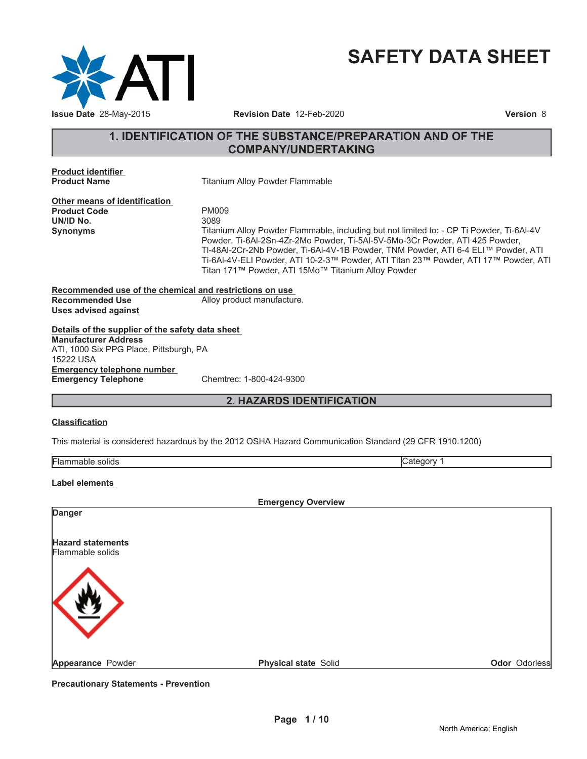

# **SAFETY DATA SHEET**

# **1. IDENTIFICATION OF THE SUBSTANCE/PREPARATION AND OF THE COMPANY/UNDERTAKING**

**Product identifier**

**Titanium Alloy Powder Flammable** 

**Other means of identification** Product Code **PM009**<br> **UN/ID No.** 3089 **UN/ID No.** 

**Synonyms** Titanium Alloy Powder Flammable, including but not limited to: - CP Ti Powder, Ti-6Al-4V Powder, Ti-6Al-2Sn-4Zr-2Mo Powder, Ti-5Al-5V-5Mo-3Cr Powder, ATI 425 Powder, TI-48AI-2Cr-2Nb Powder, Ti-6AI-4V-1B Powder, TNM Powder, ATI 6-4 ELI™ Powder, ATI Ti-6Al-4V-ELI Powder, ATI 10-2-3™ Powder, ATI Titan 23™ Powder, ATI 17™ Powder, ATI Titan 171™ Powder, ATI 15Mo<sup>™</sup> Titanium Alloy Powder

**Recommended use of the chemical and restrictions on use Recommended Use** Alloy product manufacture. **Uses advised against**

**Details of the supplier of the safety data sheet Emergency telephone number Emergency Telephone** Chemtrec: 1-800-424-9300 **Manufacturer Address** ATI, 1000 Six PPG Place, Pittsburgh, PA 15222 USA

# **2. HAZARDS IDENTIFICATION**

### **Classification**

This material is considered hazardous by the 2012 OSHA Hazard Communication Standard (29 CFR 1910.1200)

| IF<br>. |  |
|---------|--|

### **Label elements**

|                          | <b>Emergency Overview</b>   |                      |
|--------------------------|-----------------------------|----------------------|
| Danger                   |                             |                      |
| <b>Hazard statements</b> |                             |                      |
| Flammable solids         |                             |                      |
|                          |                             |                      |
|                          |                             |                      |
|                          |                             |                      |
|                          |                             |                      |
| Appearance Powder        | <b>Physical state Solid</b> | <b>Odor Odorless</b> |

**Precautionary Statements - Prevention**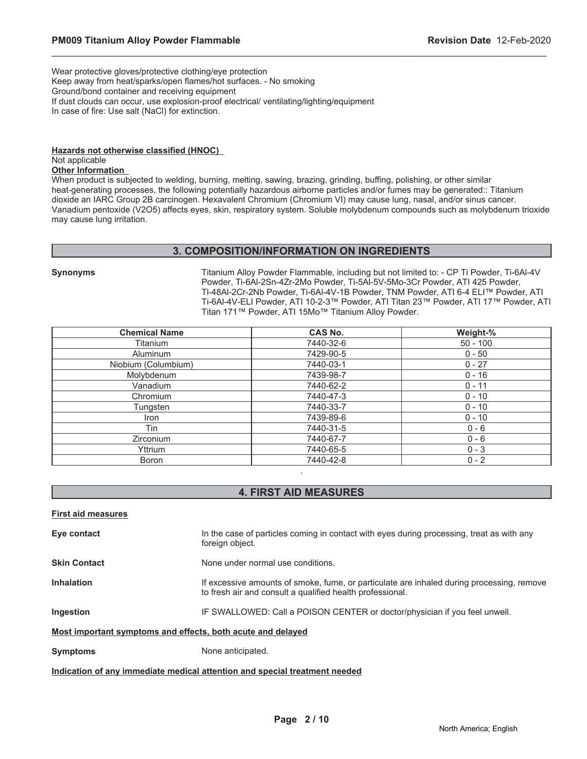Wear protective gloves/protective clothing/eye protection Keep away from heat/sparks/open flames/hot surfaces. - No smoking Ground/bond container and receiving equipment If dust clouds can occur, use explosion-proof electrical/ ventilating/lighting/equipment In case of fire: Use salt (NaCl) for extinction.

# **Hazards not otherwise classified (HNOC)**

### Not applicable **Other Information**

When product is subjected to welding, burning, melting, sawing, brazing, grinding, buffing, polishing, or other similar heat-generating processes, the following potentially hazardous airborne particles and/or fumes may be generated:: Titanium dioxide an IARC Group 2B carcinogen. Hexavalent Chromium (Chromium VI) may cause lung, nasal, and/or sinus cancer. Vanadium pentoxide (V2O5) affects eyes, skin, respiratory system. Soluble molybdenum compounds such as molybdenum trioxide may cause lung irritation.

\_\_\_\_\_\_\_\_\_\_\_\_\_\_\_\_\_\_\_\_\_\_\_\_\_\_\_\_\_\_\_\_\_\_\_\_\_\_\_\_\_\_\_\_\_\_\_\_\_\_\_\_\_\_\_\_\_\_\_\_\_\_\_\_\_\_\_\_\_\_\_\_\_\_\_\_\_\_\_\_\_\_\_\_\_\_\_\_\_\_\_\_\_

### **3. COMPOSITION/INFORMATION ON INGREDIENTS**

**Synonyms** Titanium Alloy Powder Flammable, including but not limited to: - CP Ti Powder, Ti-6Al-4V Powder, Ti-6Al-2Sn-4Zr-2Mo Powder, Ti-5Al-5V-5Mo-3Cr Powder, ATI 425 Powder, TI-48AI-2Cr-2Nb Powder, Ti-6AI-4V-1B Powder, TNM Powder, ATI 6-4 ELI™ Powder, ATI Ti-6Al-4V-ELI Powder, ATI 10-2-3™ Powder, ATI Titan 23™ Powder, ATI 17™ Powder, ATI Titan 171™ Powder, ATI 15Mo™ Titanium Alloy Powder.

| <b>Chemical Name</b> | CAS No.   | Weight-%   |
|----------------------|-----------|------------|
| Titanium             | 7440-32-6 | $50 - 100$ |
| Aluminum             | 7429-90-5 | $0 - 50$   |
| Niobium (Columbium)  | 7440-03-1 | $0 - 27$   |
| Molybdenum           | 7439-98-7 | $0 - 16$   |
| Vanadium             | 7440-62-2 | $0 - 11$   |
| Chromium             | 7440-47-3 | $0 - 10$   |
| Tungsten             | 7440-33-7 | $0 - 10$   |
| Iron                 | 7439-89-6 | $0 - 10$   |
| Tin                  | 7440-31-5 | $0 - 6$    |
| Zirconium            | 7440-67-7 | $0 - 6$    |
| Yttrium              | 7440-65-5 | $0 - 3$    |
| <b>Boron</b>         | 7440-42-8 | $0 - 2$    |
|                      | ٠         |            |

# **4. FIRST AID MEASURES**

### **First aid measures**

**Eye contact** In the case of particles coming in contact with eyes during processing, treat as with any foreign object. **Skin Contact** None under normal use conditions. **Inhalation** If excessive amounts of smoke, fume, or particulate are inhaled during processing, remove to fresh air and consult a qualified health professional. **Ingestion IF SWALLOWED: Call a POISON CENTER or doctor/physician if you feel unwell. Most important symptoms and effects, both acute and delayed Symptoms** None anticipated.

### **Indication of any immediate medical attention and special treatment needed**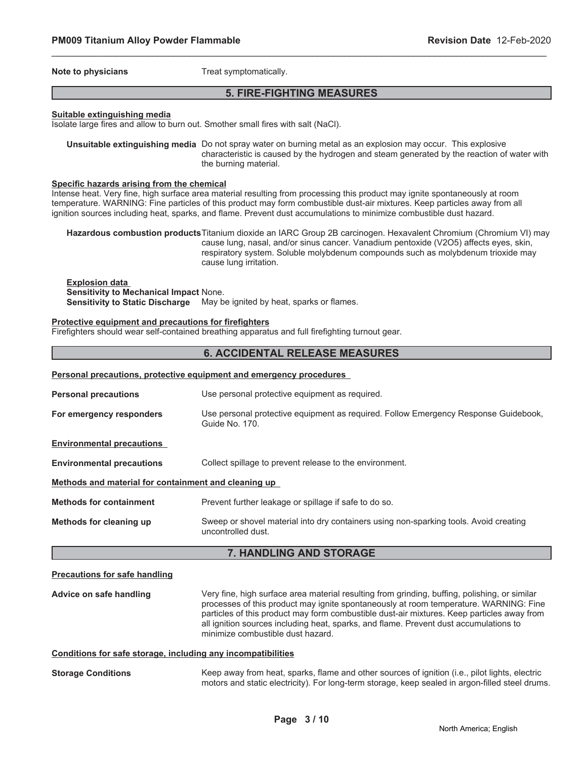**Note to physicians** Treat symptomatically.

# **5. FIRE-FIGHTING MEASURES**

\_\_\_\_\_\_\_\_\_\_\_\_\_\_\_\_\_\_\_\_\_\_\_\_\_\_\_\_\_\_\_\_\_\_\_\_\_\_\_\_\_\_\_\_\_\_\_\_\_\_\_\_\_\_\_\_\_\_\_\_\_\_\_\_\_\_\_\_\_\_\_\_\_\_\_\_\_\_\_\_\_\_\_\_\_\_\_\_\_\_\_\_\_

### **Suitable extinguishing media**

Isolate large fires and allow to burn out. Smother small fires with salt (NaCl).

**Unsuitable extinguishing media** Do not spray water on burning metal as an explosion may occur. This explosive characteristic is caused by the hydrogen and steam generated by the reaction of water with the burning material.

### **Specific hazards arising from the chemical**

Intense heat. Very fine, high surface area material resulting from processing this product may ignite spontaneously at room temperature. WARNING: Fine particles of this product may form combustible dust-air mixtures. Keep particles away from all ignition sources including heat, sparks, and flame. Prevent dust accumulations to minimize combustible dust hazard.

**Hazardous combustion products**Titanium dioxide an IARC Group 2B carcinogen. Hexavalent Chromium (Chromium VI) may cause lung, nasal, and/or sinus cancer. Vanadium pentoxide (V2O5) affects eyes, skin, respiratory system. Soluble molybdenum compounds such as molybdenum trioxide may cause lung irritation.

**Explosion data Sensitivity to Mechanical Impact** None. **Sensitivity to Static Discharge** May be ignited by heat, sparks or flames.

### **Protective equipment and precautions for firefighters**

**Personal precautions, protective equipment and emergency procedures**

Firefighters should wear self-contained breathing apparatus and full firefighting turnout gear.

### **6. ACCIDENTAL RELEASE MEASURES**

|                                                              | Personal precautions, protective equipment and emergency procedures                                                                                                                                                                                                                                                                                                                                                |  |
|--------------------------------------------------------------|--------------------------------------------------------------------------------------------------------------------------------------------------------------------------------------------------------------------------------------------------------------------------------------------------------------------------------------------------------------------------------------------------------------------|--|
| <b>Personal precautions</b>                                  | Use personal protective equipment as required.                                                                                                                                                                                                                                                                                                                                                                     |  |
| For emergency responders                                     | Use personal protective equipment as required. Follow Emergency Response Guidebook,<br>Guide No. 170.                                                                                                                                                                                                                                                                                                              |  |
| <b>Environmental precautions</b>                             |                                                                                                                                                                                                                                                                                                                                                                                                                    |  |
| <b>Environmental precautions</b>                             | Collect spillage to prevent release to the environment.                                                                                                                                                                                                                                                                                                                                                            |  |
| Methods and material for containment and cleaning up         |                                                                                                                                                                                                                                                                                                                                                                                                                    |  |
| <b>Methods for containment</b>                               | Prevent further leakage or spillage if safe to do so.                                                                                                                                                                                                                                                                                                                                                              |  |
| Methods for cleaning up                                      | Sweep or shovel material into dry containers using non-sparking tools. Avoid creating<br>uncontrolled dust.                                                                                                                                                                                                                                                                                                        |  |
|                                                              | 7. HANDLING AND STORAGE                                                                                                                                                                                                                                                                                                                                                                                            |  |
| <b>Precautions for safe handling</b>                         |                                                                                                                                                                                                                                                                                                                                                                                                                    |  |
| Advice on safe handling                                      | Very fine, high surface area material resulting from grinding, buffing, polishing, or similar<br>processes of this product may ignite spontaneously at room temperature. WARNING: Fine<br>particles of this product may form combustible dust-air mixtures. Keep particles away from<br>all ignition sources including heat, sparks, and flame. Prevent dust accumulations to<br>minimize combustible dust hazard. |  |
| Conditions for safe storage, including any incompatibilities |                                                                                                                                                                                                                                                                                                                                                                                                                    |  |
| <b>Storage Conditions</b>                                    | Keep away from heat, sparks, flame and other sources of ignition (i.e., pilot lights, electric                                                                                                                                                                                                                                                                                                                     |  |

motors and static electricity). For long-term storage, keep sealed in argon-filled steel drums.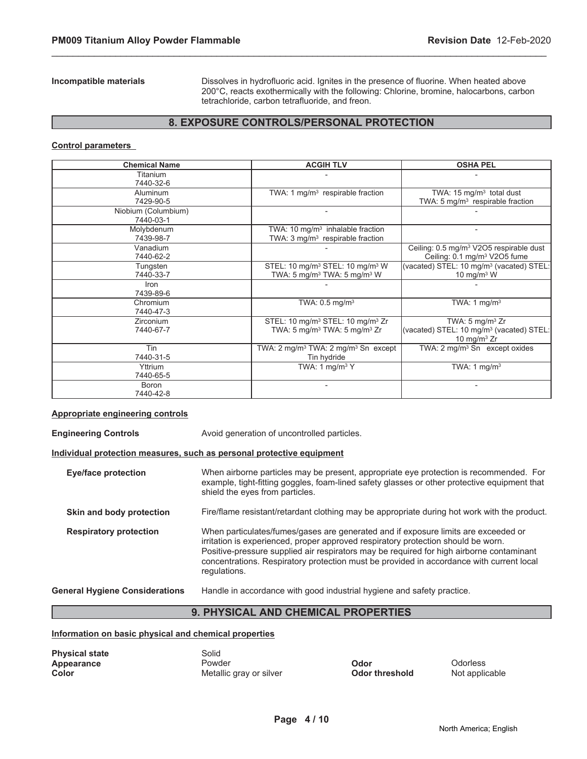**Incompatible materials** Dissolves in hydrofluoric acid. Ignites in the presence of fluorine. When heated above 200°C, reacts exothermically with the following: Chlorine, bromine, halocarbons, carbon tetrachloride, carbon tetrafluoride, and freon.

# **8. EXPOSURE CONTROLS/PERSONAL PROTECTION**

\_\_\_\_\_\_\_\_\_\_\_\_\_\_\_\_\_\_\_\_\_\_\_\_\_\_\_\_\_\_\_\_\_\_\_\_\_\_\_\_\_\_\_\_\_\_\_\_\_\_\_\_\_\_\_\_\_\_\_\_\_\_\_\_\_\_\_\_\_\_\_\_\_\_\_\_\_\_\_\_\_\_\_\_\_\_\_\_\_\_\_\_\_

### **Control parameters**

| <b>Chemical Name</b>             | <b>ACGIH TLV</b>                                                                                                 | <b>OSHA PEL</b>                                                                                      |
|----------------------------------|------------------------------------------------------------------------------------------------------------------|------------------------------------------------------------------------------------------------------|
| Titanium<br>7440-32-6            |                                                                                                                  |                                                                                                      |
| Aluminum<br>7429-90-5            | TWA: 1 mg/m <sup>3</sup> respirable fraction                                                                     | TWA: $15 \text{ mg/m}^3$ total dust<br>TWA: 5 mg/m <sup>3</sup> respirable fraction                  |
| Niobium (Columbium)<br>7440-03-1 |                                                                                                                  |                                                                                                      |
| Molybdenum<br>7439-98-7          | TWA: 10 $mg/m3$ inhalable fraction<br>TWA: $3 \text{ mg/m}^3$ respirable fraction                                |                                                                                                      |
| Vanadium<br>7440-62-2            |                                                                                                                  | Ceiling: 0.5 mg/m <sup>3</sup> V2O5 respirable dust<br>Ceiling: 0.1 mg/m <sup>3</sup> V2O5 fume      |
| Tungsten<br>7440-33-7            | STEL: 10 mg/m <sup>3</sup> STEL: 10 mg/m <sup>3</sup> W<br>TWA: 5 mg/m <sup>3</sup> TWA: 5 mg/m <sup>3</sup> W   | (vacated) STEL: 10 mg/m <sup>3</sup> (vacated) STEL:<br>10 mg/m $3$ W                                |
| Iron<br>7439-89-6                |                                                                                                                  |                                                                                                      |
| Chromium<br>7440-47-3            | TWA: $0.5$ mg/m <sup>3</sup>                                                                                     | TWA: 1 $mg/m3$                                                                                       |
| Zirconium<br>7440-67-7           | STEL: 10 mg/m <sup>3</sup> STEL: 10 mg/m <sup>3</sup> Zr<br>TWA: 5 mg/m <sup>3</sup> TWA: 5 mg/m <sup>3</sup> Zr | TWA: $5 \text{ mg/m}^3$ Zr<br>(vacated) STEL: 10 mg/m <sup>3</sup> (vacated) STEL:<br>10 mg/m $3$ Zr |
| Tin<br>7440-31-5                 | TWA: $2 \text{ mg/m}^3$ TWA: $2 \text{ mg/m}^3$ Sn except<br>Tin hydride                                         | TWA: 2 mg/m <sup>3</sup> Sn except oxides                                                            |
| Yttrium<br>7440-65-5             | TWA: 1 $mg/m3$ Y                                                                                                 | TWA: $1 \text{ mg/m}^3$                                                                              |
| Boron<br>7440-42-8               |                                                                                                                  |                                                                                                      |

### **Appropriate engineering controls**

**Engineering Controls Avoid generation of uncontrolled particles. Individual protection measures, such as personal protective equipment Eye/face protection** When airborne particles may be present, appropriate eye protection is recommended. For example, tight-fitting goggles, foam-lined safety glasses or other protective equipment that shield the eyes from particles. **Skin and body protection** Fire/flame resistant/retardant clothing may be appropriate during hot work with the product. **Respiratory protection** When particulates/fumes/gases are generated and if exposure limits are exceeded or irritation is experienced, proper approved respiratory protection should be worn. Positive-pressure supplied air respirators may be required for high airborne contaminant concentrations. Respiratory protection must be provided in accordance with current local regulations. **General Hygiene Considerations** Handle in accordance with good industrial hygiene and safety practice.

# **9. PHYSICAL AND CHEMICAL PROPERTIES**

### **Information on basic physical and chemical properties**

| <b>Physical state</b> | Solid |
|-----------------------|-------|
| Appearance            | Powo  |
| Color                 | Meta  |

**Appearance Powder Powder Construction Construction Construction Construction Odorless** 

**Metallic gray or silver <b>Color threshold** Not applicable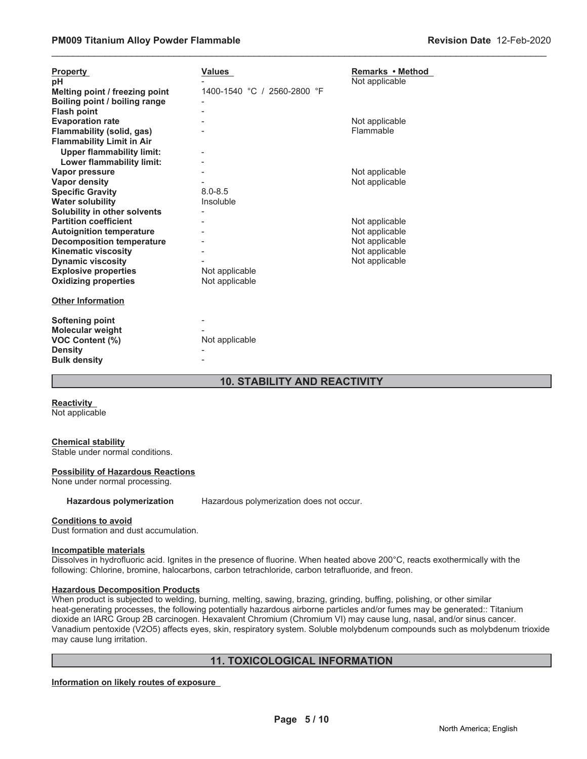| <b>Property</b><br>рH<br>Melting point / freezing point<br>Boiling point / boiling range<br><b>Flash point</b>                    | Values<br>1400-1540 °C / 2560-2800 °F | Remarks • Method<br>Not applicable                                   |
|-----------------------------------------------------------------------------------------------------------------------------------|---------------------------------------|----------------------------------------------------------------------|
| <b>Evaporation rate</b><br>Flammability (solid, gas)<br><b>Flammability Limit in Air</b><br><b>Upper flammability limit:</b>      |                                       | Not applicable<br>Flammable                                          |
| Lower flammability limit:<br>Vapor pressure<br><b>Vapor density</b>                                                               |                                       | Not applicable<br>Not applicable                                     |
| <b>Specific Gravity</b><br><b>Water solubility</b><br>Solubility in other solvents                                                | $8.0 - 8.5$<br>Insoluble              |                                                                      |
| <b>Partition coefficient</b><br><b>Autoignition temperature</b><br><b>Decomposition temperature</b><br><b>Kinematic viscosity</b> |                                       | Not applicable<br>Not applicable<br>Not applicable<br>Not applicable |
| <b>Dynamic viscosity</b><br><b>Explosive properties</b><br><b>Oxidizing properties</b>                                            | Not applicable<br>Not applicable      | Not applicable                                                       |
| <b>Other Information</b>                                                                                                          |                                       |                                                                      |
| <b>Softening point</b><br>Molecular weight<br><b>VOC Content (%)</b><br><b>Density</b><br><b>Bulk density</b>                     | Not applicable                        |                                                                      |

# **10. STABILITY AND REACTIVITY**

\_\_\_\_\_\_\_\_\_\_\_\_\_\_\_\_\_\_\_\_\_\_\_\_\_\_\_\_\_\_\_\_\_\_\_\_\_\_\_\_\_\_\_\_\_\_\_\_\_\_\_\_\_\_\_\_\_\_\_\_\_\_\_\_\_\_\_\_\_\_\_\_\_\_\_\_\_\_\_\_\_\_\_\_\_\_\_\_\_\_\_\_\_

**Reactivity** Not applicable

### **Chemical stability**

Stable under normal conditions.

### **Possibility of Hazardous Reactions**

None under normal processing.

**Hazardous polymerization** Hazardous polymerization does not occur.

### **Conditions to avoid**

Dust formation and dust accumulation.

### **Incompatible materials**

Dissolves in hydrofluoric acid. Ignites in the presence of fluorine. When heated above 200°C, reacts exothermically with the following: Chlorine, bromine, halocarbons, carbon tetrachloride, carbon tetrafluoride, and freon.

### **Hazardous Decomposition Products**

When product is subjected to welding, burning, melting, sawing, brazing, grinding, buffing, polishing, or other similar heat-generating processes, the following potentially hazardous airborne particles and/or fumes may be generated:: Titanium dioxide an IARC Group 2B carcinogen. Hexavalent Chromium (Chromium VI) may cause lung, nasal, and/or sinus cancer. Vanadium pentoxide (V2O5) affects eyes, skin, respiratory system. Soluble molybdenum compounds such as molybdenum trioxide may cause lung irritation.

# **11. TOXICOLOGICAL INFORMATION**

**Information on likely routes of exposure**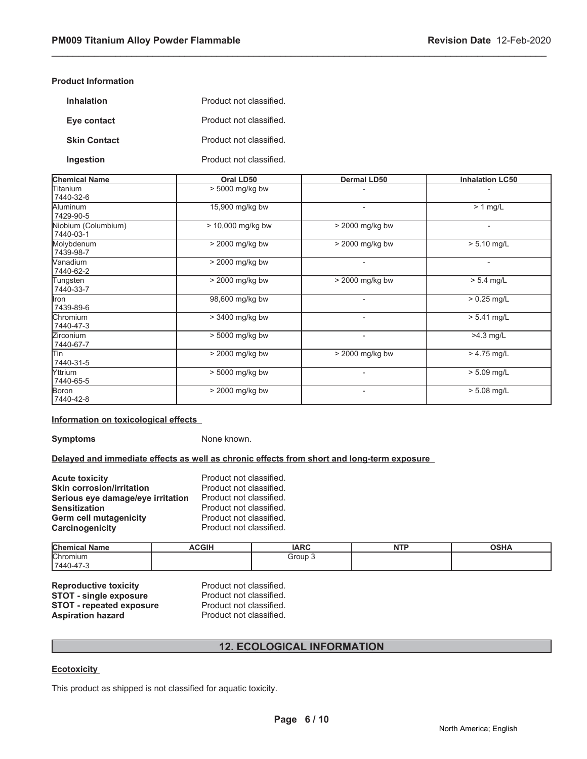### **Product Information**

| <b>Inhalation</b>   | Product not classified. |
|---------------------|-------------------------|
| Eye contact         | Product not classified. |
| <b>Skin Contact</b> | Product not classified. |
| Ingestion           | Product not classified. |

| <b>Chemical Name</b>             | Oral LD50         | Dermal LD50              | <b>Inhalation LC50</b>   |
|----------------------------------|-------------------|--------------------------|--------------------------|
| Titanium<br>7440-32-6            | > 5000 mg/kg bw   |                          | $\overline{\phantom{0}}$ |
| Aluminum<br>7429-90-5            | 15,900 mg/kg bw   | ٠                        | $> 1$ mg/L               |
| Niobium (Columbium)<br>7440-03-1 | > 10,000 mg/kg bw | > 2000 mg/kg bw          | $\overline{\phantom{a}}$ |
| Molybdenum<br>7439-98-7          | > 2000 mg/kg bw   | > 2000 mg/kg bw          | $> 5.10$ mg/L            |
| Wanadium<br>7440-62-2            | > 2000 mg/kg bw   |                          | $\blacksquare$           |
| Tungsten<br>7440-33-7            | > 2000 mg/kg bw   | > 2000 mg/kg bw          | $> 5.4$ mg/L             |
| llron<br>7439-89-6               | 98,600 mg/kg bw   |                          | $> 0.25$ mg/L            |
| Chromium<br>7440-47-3            | > 3400 mg/kg bw   |                          | $> 5.41$ mg/L            |
| Zirconium<br>7440-67-7           | > 5000 mg/kg bw   | $\blacksquare$           | >4.3 mg/L                |
| lTin<br>7440-31-5                | > 2000 mg/kg bw   | > 2000 mg/kg bw          | $> 4.75$ mg/L            |
| <b>Yttrium</b><br>7440-65-5      | > 5000 mg/kg bw   | $\blacksquare$           | $> 5.09$ mg/L            |
| Boron<br>7440-42-8               | > 2000 mg/kg bw   | $\overline{\phantom{a}}$ | $> 5.08$ mg/L            |

\_\_\_\_\_\_\_\_\_\_\_\_\_\_\_\_\_\_\_\_\_\_\_\_\_\_\_\_\_\_\_\_\_\_\_\_\_\_\_\_\_\_\_\_\_\_\_\_\_\_\_\_\_\_\_\_\_\_\_\_\_\_\_\_\_\_\_\_\_\_\_\_\_\_\_\_\_\_\_\_\_\_\_\_\_\_\_\_\_\_\_\_\_

### **Information on toxicological effects**

**Symptoms** None known.

**Delayed and immediate effects as well as chronic effects from short and long-term exposure**

| <b>Acute toxicity</b>             | Product not classified. |
|-----------------------------------|-------------------------|
| <b>Skin corrosion/irritation</b>  | Product not classified. |
| Serious eye damage/eye irritation | Product not classified. |
| <b>Sensitization</b>              | Product not classified. |
| Germ cell mutagenicity            | Product not classified. |
| Carcinogenicity                   | Product not classified. |

| Chemical<br>.<br><b>Name</b> | <b>ACGIH</b> | <b>IARC</b>      | <b>NITE</b><br>. | <b>OSHA</b> |
|------------------------------|--------------|------------------|------------------|-------------|
| <b>Chromium</b>              |              | Group<br>- - - - |                  |             |
| $7440 - 47 - 5$              |              |                  |                  |             |

**Reproductive toxicity** Product not classified.<br> **STOT - single exposure** Product not classified. **STOT - single exposure** Product not classified.<br>**STOT - repeated exposure** Product not classified. **STOT - repeated exposure** Aspiration hazard **Product not classified.** 

# **12. ECOLOGICAL INFORMATION**

### **Ecotoxicity**

This product as shipped is not classified for aquatic toxicity.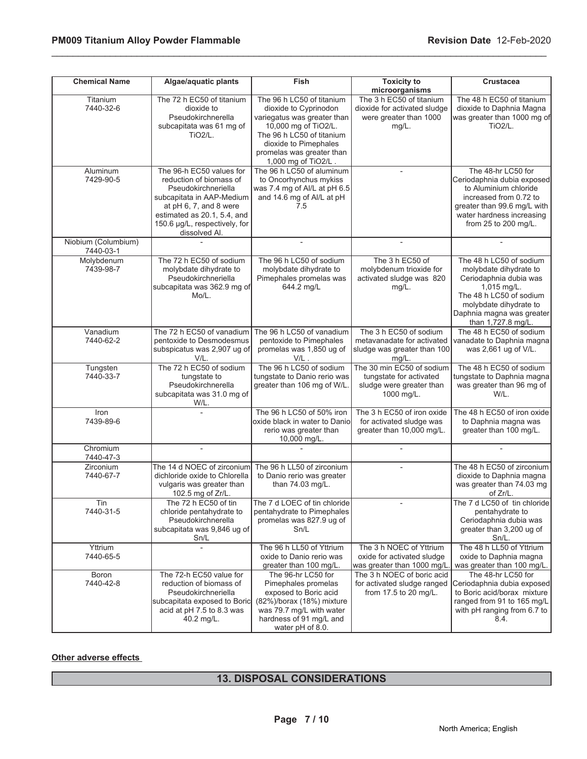| <b>Chemical Name</b>             | Algae/aquatic plants                                                                                                                                                                                               | Fish                                                                                                                                                                                                                | <b>Toxicity to</b><br>microorganisms                                                            | <b>Crustacea</b>                                                                                                                                                                                   |
|----------------------------------|--------------------------------------------------------------------------------------------------------------------------------------------------------------------------------------------------------------------|---------------------------------------------------------------------------------------------------------------------------------------------------------------------------------------------------------------------|-------------------------------------------------------------------------------------------------|----------------------------------------------------------------------------------------------------------------------------------------------------------------------------------------------------|
| Titanium<br>7440-32-6            | The 72 h EC50 of titanium<br>dioxide to<br>Pseudokirchnerella<br>subcapitata was 61 mg of<br>TiO <sub>2</sub> /L.                                                                                                  | The 96 h LC50 of titanium<br>dioxide to Cyprinodon<br>variegatus was greater than<br>10,000 mg of TiO2/L.<br>The 96 h LC50 of titanium<br>dioxide to Pimephales<br>promelas was greater than<br>1,000 mg of TiO2/L. | The 3 h EC50 of titanium<br>dioxide for activated sludge<br>were greater than 1000<br>$mg/L$ .  | The 48 h EC50 of titanium<br>dioxide to Daphnia Magna<br>was greater than 1000 mg of<br><b>TiO2/L.</b>                                                                                             |
| Aluminum<br>7429-90-5            | The 96-h EC50 values for<br>reduction of biomass of<br>Pseudokirchneriella<br>subcapitata in AAP-Medium<br>at pH 6, 7, and 8 were<br>estimated as 20.1, 5.4, and<br>150.6 µg/L, respectively, for<br>dissolved Al. | The 96 h LC50 of aluminum<br>to Oncorhynchus mykiss<br>was 7.4 mg of Al/L at pH 6.5<br>and 14.6 mg of Al/L at pH<br>7.5                                                                                             |                                                                                                 | The 48-hr LC50 for<br>Ceriodaphnia dubia exposed<br>to Aluminium chloride<br>increased from 0.72 to<br>greater than 99.6 mg/L with<br>water hardness increasing<br>from 25 to 200 mg/L.            |
| Niobium (Columbium)<br>7440-03-1 |                                                                                                                                                                                                                    | $\overline{a}$                                                                                                                                                                                                      | $\overline{\phantom{a}}$                                                                        |                                                                                                                                                                                                    |
| Molybdenum<br>7439-98-7          | The 72 h EC50 of sodium<br>molybdate dihydrate to<br>Pseudokirchneriella<br>subcapitata was 362.9 mg of<br>Mo/L.                                                                                                   | The 96 h LC50 of sodium<br>molybdate dihydrate to<br>Pimephales promelas was<br>644.2 mg/L                                                                                                                          | The 3 h EC50 of<br>molybdenum trioxide for<br>activated sludge was 820<br>$mg/L$ .              | The 48 h LC50 of sodium<br>molybdate dihydrate to<br>Ceriodaphnia dubia was<br>1,015 mg/L.<br>The 48 h LC50 of sodium<br>molybdate dihydrate to<br>Daphnia magna was greater<br>than 1,727.8 mg/L. |
| Vanadium<br>7440-62-2            | The 72 h EC50 of vanadium<br>pentoxide to Desmodesmus<br>subspicatus was 2,907 ug of<br>V/L.                                                                                                                       | The 96 h LC50 of vanadium<br>pentoxide to Pimephales<br>promelas was 1,850 ug of<br>$V/L$ .                                                                                                                         | The 3 h EC50 of sodium<br>metavanadate for activated<br>sludge was greater than 100<br>$mg/L$ . | The 48 h EC50 of sodium<br>vanadate to Daphnia magna<br>was 2,661 ug of V/L.                                                                                                                       |
| Tungsten<br>7440-33-7            | The 72 h EC50 of sodium<br>tungstate to<br>Pseudokirchnerella<br>subcapitata was 31.0 mg of<br>W/L.                                                                                                                | The 96 h LC50 of sodium<br>tungstate to Danio rerio was<br>greater than 106 mg of W/L.                                                                                                                              | The 30 min EC50 of sodium<br>tungstate for activated<br>sludge were greater than<br>1000 mg/L.  | The 48 h EC50 of sodium<br>tungstate to Daphnia magna<br>was greater than 96 mg of<br>W/L.                                                                                                         |
| Iron<br>7439-89-6                |                                                                                                                                                                                                                    | The 96 h LC50 of 50% iron<br>oxide black in water to Danio<br>rerio was greater than<br>10,000 mg/L.                                                                                                                | The 3 h EC50 of iron oxide<br>for activated sludge was<br>greater than 10,000 mg/L.             | The 48 h EC50 of iron oxide<br>to Daphnia magna was<br>greater than 100 mg/L.                                                                                                                      |
| Chromium<br>7440-47-3            | $\overline{a}$                                                                                                                                                                                                     |                                                                                                                                                                                                                     |                                                                                                 |                                                                                                                                                                                                    |
| Zirconium<br>7440-67-7           | The 14 d NOEC of zirconium<br>dichloride oxide to Chlorella<br>vulgaris was greater than<br>102.5 mg of Zr/L.                                                                                                      | The 96 h LL50 of zirconium<br>to Danio rerio was greater<br>than 74.03 mg/L.                                                                                                                                        |                                                                                                 | The 48 h EC50 of zirconium<br>dioxide to Daphnia magna<br>was greater than 74.03 mg<br>of Zr/L.                                                                                                    |
| Tin<br>7440-31-5                 | The 72 h EC50 of tin<br>chloride pentahydrate to<br>Pseudokirchnerella<br>subcapitata was 9,846 ug of<br>Sn/L                                                                                                      | The 7 d LOEC of tin chloride<br>pentahydrate to Pimephales<br>promelas was 827.9 ug of<br>Sn/L                                                                                                                      |                                                                                                 | The 7 d LC50 of tin chloride<br>pentahydrate to<br>Ceriodaphnia dubia was<br>greater than 3,200 ug of<br>Sn/L.                                                                                     |
| Yttrium<br>7440-65-5             |                                                                                                                                                                                                                    | The 96 h LL50 of Yttrium<br>oxide to Danio rerio was<br>greater than 100 mg/L.                                                                                                                                      | The 3 h NOEC of Yttrium<br>oxide for activated sludge<br>was greater than 1000 mg/L.            | The 48 h LL50 of Yttrium<br>oxide to Daphnia magna<br>was greater than 100 mg/L.                                                                                                                   |
| Boron<br>7440-42-8               | The 72-h EC50 value for<br>reduction of biomass of<br>Pseudokirchneriella<br>subcapitata exposed to Boric<br>acid at pH 7.5 to 8.3 was<br>40.2 mg/L.                                                               | The 96-hr LC50 for<br>Pimephales promelas<br>exposed to Boric acid<br>(82%)/borax (18%) mixture<br>was 79.7 mg/L with water<br>hardness of 91 mg/L and<br>water pH of 8.0.                                          | The 3 h NOEC of boric acid<br>for activated sludge ranged<br>from 17.5 to 20 mg/L.              | The 48-hr LC50 for<br>Ceriodaphnia dubia exposed<br>to Boric acid/borax mixture<br>ranged from 91 to 165 mg/L<br>with pH ranging from 6.7 to<br>8.4.                                               |

\_\_\_\_\_\_\_\_\_\_\_\_\_\_\_\_\_\_\_\_\_\_\_\_\_\_\_\_\_\_\_\_\_\_\_\_\_\_\_\_\_\_\_\_\_\_\_\_\_\_\_\_\_\_\_\_\_\_\_\_\_\_\_\_\_\_\_\_\_\_\_\_\_\_\_\_\_\_\_\_\_\_\_\_\_\_\_\_\_\_\_\_\_

### **Other adverse effects**

# **13. DISPOSAL CONSIDERATIONS**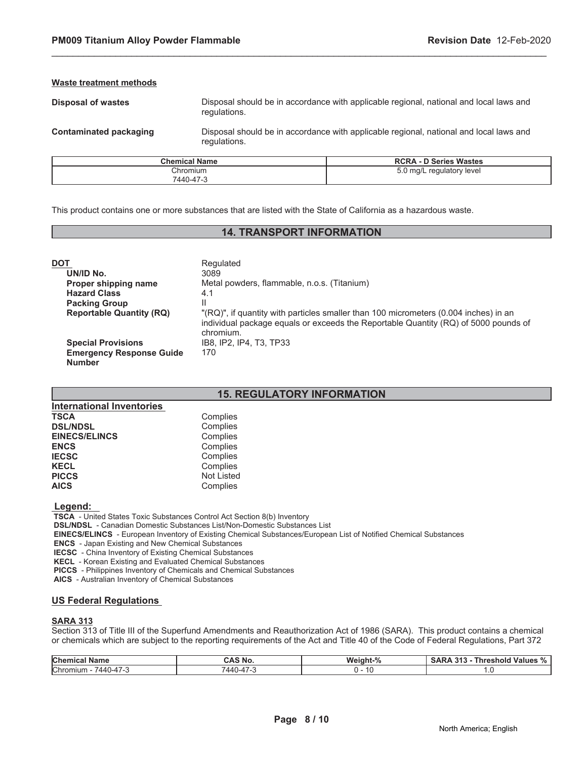### **Waste treatment methods**

**Disposal of wastes** Disposal should be in accordance with applicable regional, national and local laws and regulations.

**Contaminated packaging** Disposal should be in accordance with applicable regional, national and local laws and regulations.

| <b>Chemical Name</b> | <b>RCRA - D Series Wastes</b> |
|----------------------|-------------------------------|
| Chromium             | 5.0 mg/L regulatory level     |
| 7440-47-3            |                               |

\_\_\_\_\_\_\_\_\_\_\_\_\_\_\_\_\_\_\_\_\_\_\_\_\_\_\_\_\_\_\_\_\_\_\_\_\_\_\_\_\_\_\_\_\_\_\_\_\_\_\_\_\_\_\_\_\_\_\_\_\_\_\_\_\_\_\_\_\_\_\_\_\_\_\_\_\_\_\_\_\_\_\_\_\_\_\_\_\_\_\_\_\_

This product contains one or more substances that are listed with the State of California as a hazardous waste.

# **14. TRANSPORT INFORMATION**

| <b>DOT</b>                                       | Regulated                                                                                                                                                                                |
|--------------------------------------------------|------------------------------------------------------------------------------------------------------------------------------------------------------------------------------------------|
| UN/ID No.                                        | 3089                                                                                                                                                                                     |
| Proper shipping name                             | Metal powders, flammable, n.o.s. (Titanium)                                                                                                                                              |
| <b>Hazard Class</b>                              | 4.1                                                                                                                                                                                      |
| <b>Packing Group</b>                             |                                                                                                                                                                                          |
| <b>Reportable Quantity (RQ)</b>                  | "(RQ)", if quantity with particles smaller than 100 micrometers (0.004 inches) in an<br>individual package equals or exceeds the Reportable Quantity (RQ) of 5000 pounds of<br>chromium. |
| <b>Special Provisions</b>                        | IB8, IP2, IP4, T3, TP33                                                                                                                                                                  |
| <b>Emergency Response Guide</b><br><b>Number</b> | 170                                                                                                                                                                                      |

### **15. REGULATORY INFORMATION**

| <b>International Inventories</b> |                   |
|----------------------------------|-------------------|
| <b>TSCA</b>                      | Complies          |
| <b>DSL/NDSL</b>                  | Complies          |
| <b>EINECS/ELINCS</b>             | Complies          |
| <b>ENCS</b>                      | Complies          |
| <b>IECSC</b>                     | Complies          |
| <b>KECL</b>                      | Complies          |
| <b>PICCS</b>                     | <b>Not Listed</b> |
| <b>AICS</b>                      | Complies          |

 **Legend:** 

 **TSCA** - United States Toxic Substances Control Act Section 8(b) Inventory

 **DSL/NDSL** - Canadian Domestic Substances List/Non-Domestic Substances List

 **EINECS/ELINCS** - European Inventory of Existing Chemical Substances/European List of Notified Chemical Substances

 **ENCS** - Japan Existing and New Chemical Substances

 **IECSC** - China Inventory of Existing Chemical Substances

 **KECL** - Korean Existing and Evaluated Chemical Substances

 **PICCS** - Philippines Inventory of Chemicals and Chemical Substances

 **AICS** - Australian Inventory of Chemical Substances

### **US Federal Regulations**

### **SARA 313**

Section 313 of Title III of the Superfund Amendments and Reauthorization Act of 1986 (SARA). This product contains a chemical or chemicals which are subject to the reporting requirements of the Act and Title 40 of the Code of Federal Regulations, Part 372

| <b>Chemical Name</b>                                          | <b>CAS No.</b>          | Weight-%       | <b>Values</b><br>$\mathbf{a}$<br>Threshold<br>$\sim$ 4 $\sim$<br><b>SARA</b><br>د ن<br>- 70 |
|---------------------------------------------------------------|-------------------------|----------------|---------------------------------------------------------------------------------------------|
| Chromiun<br>$\rightarrow$<br>440 ،<br>$1 - 4$ / $-$<br>$\sim$ | $\sim$<br>$7440 - 47 -$ | $\sim$<br>نا ا |                                                                                             |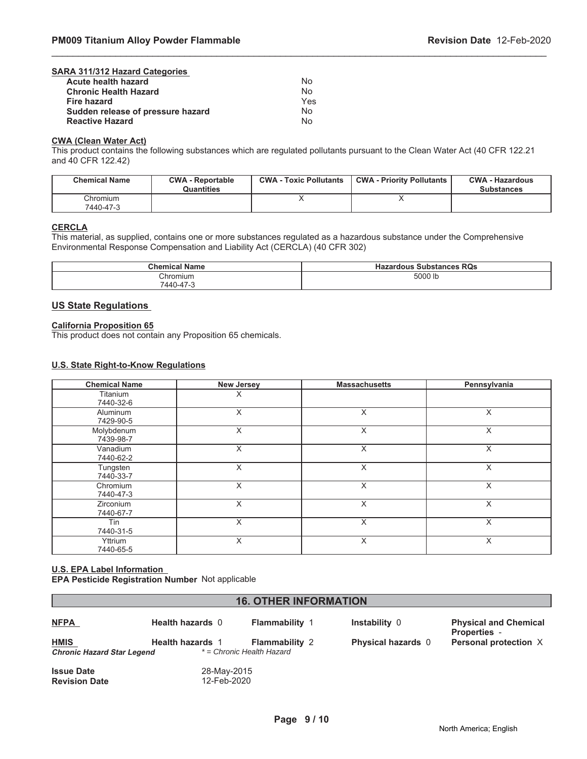| SARA 311/312 Hazard Categories    |     |
|-----------------------------------|-----|
| Acute health hazard               | N٥  |
| <b>Chronic Health Hazard</b>      | Nο  |
| Fire hazard                       | Yes |
| Sudden release of pressure hazard | No  |
| <b>Reactive Hazard</b>            | N٥  |
|                                   |     |

### **CWA (Clean Water Act)**

This product contains the following substances which are regulated pollutants pursuant to the Clean Water Act (40 CFR 122.21 and 40 CFR 122.42)

\_\_\_\_\_\_\_\_\_\_\_\_\_\_\_\_\_\_\_\_\_\_\_\_\_\_\_\_\_\_\_\_\_\_\_\_\_\_\_\_\_\_\_\_\_\_\_\_\_\_\_\_\_\_\_\_\_\_\_\_\_\_\_\_\_\_\_\_\_\_\_\_\_\_\_\_\_\_\_\_\_\_\_\_\_\_\_\_\_\_\_\_\_

| <b>Chemical Name</b>  | <b>CWA - Reportable</b><br>Quantities | <b>CWA - Toxic Pollutants</b> | <b>CWA - Priority Pollutants</b> | <b>CWA - Hazardous</b><br><b>Substances</b> |
|-----------------------|---------------------------------------|-------------------------------|----------------------------------|---------------------------------------------|
| Chromium<br>7440-47-3 |                                       |                               |                                  |                                             |

### **CERCLA**

This material, as supplied, contains one or more substances regulated as a hazardous substance under the Comprehensive Environmental Response Compensation and Liability Act (CERCLA) (40 CFR 302)

| <b>Chemical Name</b> | <b>Hazardous Substances RQs</b> |
|----------------------|---------------------------------|
| Chromium             | 5000 lb                         |
| 7440-47-3            |                                 |

# **US State Regulations**

### **California Proposition 65**

This product does not contain any Proposition 65 chemicals.

### **U.S. State Right-to-Know Regulations**

| <b>Chemical Name</b>          | <b>New Jersey</b> | <b>Massachusetts</b> | Pennsylvania |
|-------------------------------|-------------------|----------------------|--------------|
| Titanium<br>7440-32-6         | X                 |                      |              |
| Aluminum<br>7429-90-5         | X                 | X                    | X            |
| Molybdenum<br>7439-98-7       | X                 | X                    | X            |
| Vanadium<br>7440-62-2         | X                 | X                    | X            |
| Tungsten<br>7440-33-7         | X                 | X                    | X            |
| Chromium<br>7440-47-3         | X                 | X                    | X            |
| <b>Zirconium</b><br>7440-67-7 | X                 | X                    | X            |
| Tin<br>7440-31-5              | X                 | X                    | X            |
| Yttrium<br>7440-65-5          | X                 | X                    | X            |

### **U.S. EPA Label Information EPA Pesticide Registration Number** Not applicable

| <b>16. OTHER INFORMATION</b>                                            |                         |                                                    |                           |                                                     |
|-------------------------------------------------------------------------|-------------------------|----------------------------------------------------|---------------------------|-----------------------------------------------------|
| <b>NFPA</b>                                                             | <b>Health hazards 0</b> | <b>Flammability 1</b>                              | Instability 0             | <b>Physical and Chemical</b><br><b>Properties -</b> |
| <b>HMIS</b><br><b>Chronic Hazard Star Legend</b>                        | <b>Health hazards 1</b> | <b>Flammability 2</b><br>* = Chronic Health Hazard | <b>Physical hazards</b> 0 | Personal protection X                               |
| <b>Issue Date</b><br>28-May-2015<br>12-Feb-2020<br><b>Revision Date</b> |                         |                                                    |                           |                                                     |